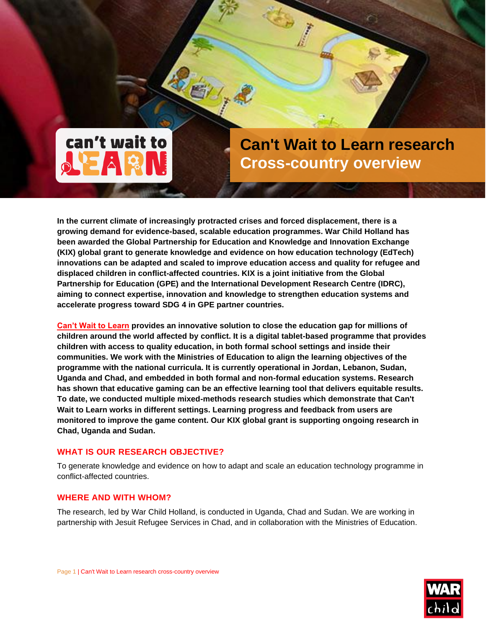# can't wait to

**Can't Wait to Learn research Cross-country overview**

**In the current climate of increasingly protracted crises and forced displacement, there is a growing demand for evidence-based, scalable education programmes. War Child Holland has been awarded the Global Partnership for Education and Knowledge and Innovation Exchange (KIX) global grant to generate knowledge and evidence on how education technology (EdTech) innovations can be adapted and scaled to improve education access and quality for refugee and displaced children in conflict-affected countries. KIX is a joint initiative from the Global Partnership for Education (GPE) and the International Development Research Centre (IDRC), aiming to connect expertise, innovation and knowledge to strengthen education systems and accelerate progress toward SDG 4 in GPE partner countries.**

**[Can't Wait to Learn](https://www.warchildholland.org/intervention-cwtl/) provides an innovative solution to close the education gap for millions of children around the world affected by conflict. It is a digital tablet-based programme that provides children with access to quality education, in both formal school settings and inside their communities. We work with the Ministries of Education to align the learning objectives of the programme with the national curricula. It is currently operational in Jordan, Lebanon, Sudan, Uganda and Chad, and embedded in both formal and non-formal education systems. Research has shown that educative gaming can be an effective learning tool that delivers equitable results. To date, we conducted multiple mixed-methods research studies which demonstrate that Can't Wait to Learn works in different settings. Learning progress and feedback from users are monitored to improve the game content. Our KIX global grant is supporting ongoing research in Chad, Uganda and Sudan.**

# **WHAT IS OUR RESEARCH OBJECTIVE?**

To generate knowledge and evidence on how to adapt and scale an education technology programme in conflict-affected countries.

# **WHERE AND WITH WHOM?**

The research, led by War Child Holland, is conducted in Uganda, Chad and Sudan. We are working in partnership with Jesuit Refugee Services in Chad, and in collaboration with the Ministries of Education.